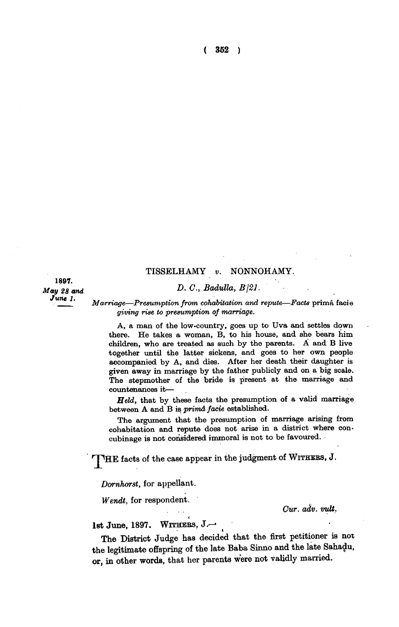**( 352 )** 

**1897.**  *June 1.* 

## **TISSELHAMY** *v.* **NONNOHAMY.**

## *May 28 and D. C., Badulla, B\21.*

*Marriage—Presumption from cohabitation and repute—Facts* **prima facie**  *giving rise to presumption of marriage.* 

**A, a man of the low-country, goes up to Uva and settles down there. He takes a woman, B, to his house, and she bears him children, who are treated as such by the parents. A and B live together until the latter sickens, and goes to her own people accompanied by A, and dies. After her death their daughter is given away in marriage by the father publicly and on a big scale. The stepmother of the bride is present at the marriage and countenances it—** 

*Held,* **that by these facts the presumption of a valid marriage between A and B is** *prima facie* **established.** 

**The argument that the presumption of marriage arising from cohabitation and repute does not arise in a district where concubinage is not considered immoral is not to be favoured.** 

**THE facts of the case appear in the judgment of WITHERS, J.** 

*Dornhorst,* **for appellant.** 

*Wendt,* **for respondent.** 

*. . Cur. adv. vult.* 

**1st June, 1897 . WITHERS, J.—•** 

**The District Judge has decided that the first petitioner is not the legitimate offspring of the late Baba Sinno and the late Sahadu, or, in other words, that her parents were not validly married.**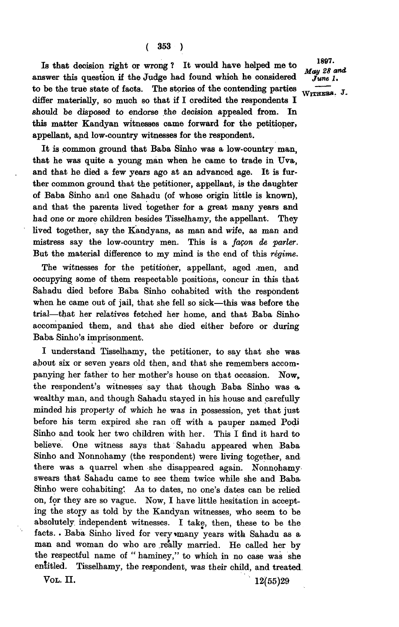**<sup>1897</sup>Is that decision right or wrong ? It would have helped me to**  answer this question if the Judge had found which he considered  $j_{une}$  *J.* to be the true state of facts. The stories of the contending parties  $\overline{W_{\text{ITHERB.}}}$  J. **differ materially, so much so that if I credited the respondents I should be disposed to endorse the decision appealed from. In this matter Kandyan witnesses came forward for the petitioner, appellant, and low-country witnesses for the respondent.** 

**It is common ground that Baba Sinho was a low-country man, that he was quite a young man when he came to trade in Uva, and that he died a few years ago at an advanced age. It is further common ground that the petitioner, appellant, is the daughter of Baba Sinho and one Sahadu (of whose origin little is known), and that the parents lived together for a great many years and had one or more children besides Tisselhamy, the appellant. They lived together, say the Kandyans, as man and wife, as man and mistress say the low-country men. This is a** *facon de parler.*  But the material difference to my mind is the end of this *régime*.

The witnesses for the petitioner, appellant, aged men, and **occupying some of them respectable positions, concur in this that Sahadu died before Baba Sinho cohabited with the respondent when he came out of jail, that she fell so sick—this was before the trial—that her relatives fetched her home, and that Baba Sinho accompanied them, and that she died either before or during Baba Sinho's imprisonment.** 

**I understand Tisselhamy, the petitioner, to say that she was about six or seven years old then, and that she remembers accom**panying her father to her mother's house on that occasion. Now. **the respondent's witnesses say that though Baba Sinho was a, wealthy man, and though Sahadu stayed in his house and carefully minded his property of which he was in possession, yet that just before his term expired she ran off with a pauper named Podi Sinho and took her two children with her. This I find it hard to believe. One witness says that Sahadu appeared when Baba**  Sinho and Nonnohamy (the respondent) were living together, and **there was a quarrel when she disappeared again. Nonnohamyswears that Sahadu came to see them twice while she and Baba Sinho were cohabiting'. As to dates, no one's dates can be relied on, for they are so vague. Now, I have little hesitation in accepting the story as told by the Kandyan witnesses, who seem to be absolutely, independent witnesses. I take, then, these to be the**  facts. . Baba Sinho lived for very many years with Sahadu as a **man and woman do who are .really married. He called her by the respectful name of " haminey," to which in no case was she entitled. Tisselhamy, the respondent, was their child, and treated VOL. II. 12**(55)29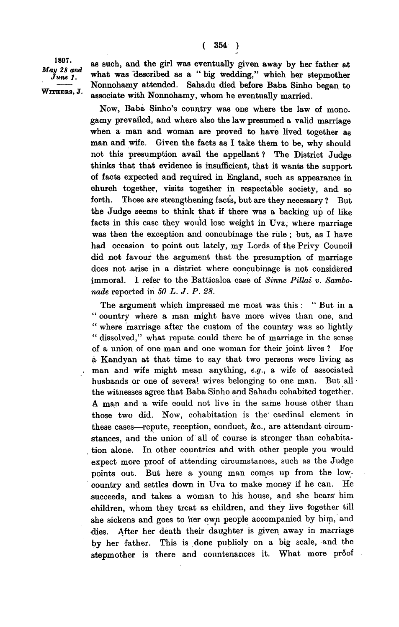1897. May 28 and June 1. WITHERS, J.

**as such, and the girl was eventually given away by her father at what was "described as a " big wedding," which her stepmother Nonnohamy attended. Sahadu died before Baba Sinho began to associate with Nonnohamy, whom he eventually married.** 

**Now, Baba Sinho's country was one where the law of monogamy prevailed, and where also the law presumed a valid marriage when a man and woman are proved to have lived together as man and wife. Given the facts as I take them to be, why should not this presumption avail the appellant ? The District Judge thinks that that evidence is insufficient, that it wants the support of facts expected and required in England, such as appearance in chinch together, visits together in respectable society, and so forth. Those are strengthening facts, but are they necessary ? But the Judge seems to think that if there was a backing up of like facts in this case they would lose weight in Uva, where marriage was then the exception and concubinage the rule ; but, as I have had occasion to point out lately, my Lords of the Privy Council did not favour the argument that the presumption of marriage does not arise in a district where concubinage is not considered immoral. I refer to the Batticaloa case of** *Sinne Pillai v. Sambonude* **reported in** *50 L. J. P. 28.* 

**The argument which impressed me most was this : " But in a " country where a man might have more wives than one, and " where marriage after the custom of the country was so lightly " dissolved," what repute could there be of marriage in the sense of a union of one man and one woman for their joint lives ? For a Kandyan at that time to say that two persons were living as man and wife might mean anything,** *e.g.,* **a wife of associated husbands or one of several wives belonging to one man. But all the witnesses agree that Baba Sinho and Sahadu cohabited together. A man and a wife could not live in the same house other than those two did. Now, cohabitation is the cardinal element in these cases—repute, reception, conduct, &c, are attendant circumstances, and the union of all of course is stronger than cohabitation alone. In other countries and with other people you would expect more proof of attending circumstances, such as the Judge points out. But here a young man comes up from the lowcountry and settles down in Uva to make money if he can. He succeeds, and takes a woman to his house, and she bears' him children, whom they treat as children, and they five together till she sickens and goes to her own people accompanied by him, and dies. After her death their daughter is given away in marriage by her father. This is done publicly on a big scale, and the stepmother is there and countenances it. What more pr6of**